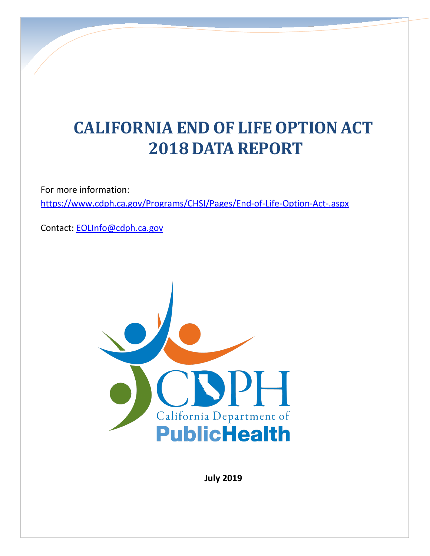# **CALIFORNIA END OF LIFEOPTIONACT 2018 DATA REPORT**

For more information:

<https://www.cdph.ca.gov/Programs/CHSI/Pages/End-of-Life-Option-Act-.aspx>

Contact: [EOLInfo@cdph.ca.gov](mailto:EOLInfo@cdph.ca.gov)



**July 2019**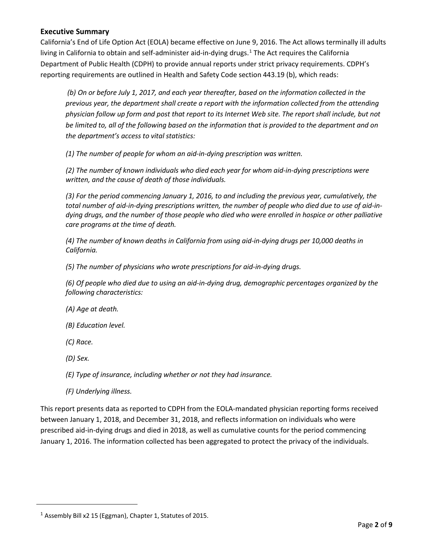#### **Executive Summary**

California's End of Life Option Act (EOLA) became effective on June 9, 2016. The Act allows terminally ill adults living in California to obtain and self-administer aid-in-dying drugs.<sup>[1](#page-1-0)</sup> The Act requires the California Department of Public Health (CDPH) to provide annual reports under strict privacy requirements. CDPH's reporting requirements are outlined in Health and Safety Code section 443.19 (b), which reads:

*(b) On or before July 1, 2017, and each year thereafter, based on the information collected in the previous year, the department shall create a report with the information collected from the attending physician follow up form and post that report to its Internet Web site. The report shall include, but not be limited to, all of the following based on the information that is provided to the department and on the department's access to vital statistics:*

*(1) The number of people for whom an aid-in-dying prescription was written.*

*(2) The number of known individuals who died each year for whom aid-in-dying prescriptions were written, and the cause of death of those individuals.*

*(3) For the period commencing January 1, 2016, to and including the previous year, cumulatively, the total number of aid-in-dying prescriptions written, the number of people who died due to use of aid-indying drugs, and the number of those people who died who were enrolled in hospice or other palliative care programs at the time of death.*

*(4) The number of known deaths in California from using aid-in-dying drugs per 10,000 deaths in California.*

*(5) The number of physicians who wrote prescriptions for aid-in-dying drugs.*

*(6) Of people who died due to using an aid-in-dying drug, demographic percentages organized by the following characteristics:*

*(A) Age at death.*

*(B) Education level.*

*(C) Race.*

*(D) Sex.*

<span id="page-1-0"></span> $\overline{a}$ 

*(E) Type of insurance, including whether or not they had insurance.*

*(F) Underlying illness.*

This report presents data as reported to CDPH from the EOLA-mandated physician reporting forms received between January 1, 2018, and December 31, 2018, and reflects information on individuals who were prescribed aid-in-dying drugs and died in 2018, as well as cumulative counts for the period commencing January 1, 2016. The information collected has been aggregated to protect the privacy of the individuals.

 $1$  Assembly Bill x2 15 (Eggman), Chapter 1, Statutes of 2015.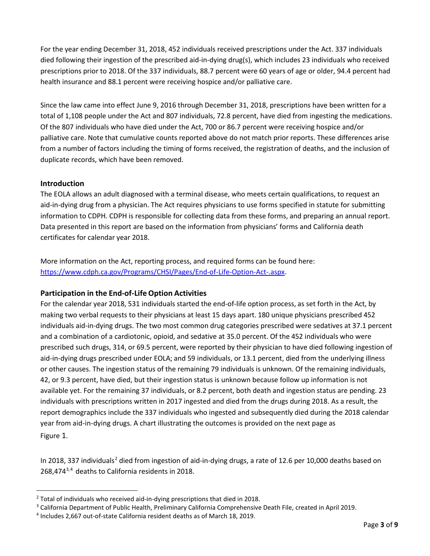For the year ending December 31, 2018, 452 individuals received prescriptions under the Act. 337 individuals died following their ingestion of the prescribed aid-in-dying drug(s), which includes 23 individuals who received prescriptions prior to 2018. Of the 337 individuals, 88.7 percent were 60 years of age or older, 94.4 percent had health insurance and 88.1 percent were receiving hospice and/or palliative care.

Since the law came into effect June 9, 2016 through December 31, 2018, prescriptions have been written for a total of 1,108 people under the Act and 807 individuals, 72.8 percent, have died from ingesting the medications. Of the 807 individuals who have died under the Act, 700 or 86.7 percent were receiving hospice and/or palliative care. Note that cumulative counts reported above do not match prior reports. These differences arise from a number of factors including the timing of forms received, the registration of deaths, and the inclusion of duplicate records, which have been removed.

#### **Introduction**

The EOLA allows an adult diagnosed with a terminal disease, who meets certain qualifications, to request an aid-in-dying drug from a physician. The Act requires physicians to use forms specified in statute for submitting information to CDPH. CDPH is responsible for collecting data from these forms, and preparing an annual report. Data presented in this report are based on the information from physicians' forms and California death certificates for calendar year 2018.

More information on the Act, reporting process, and required forms can be found here: [https://www.cdph.ca.gov/Programs/CHSI/Pages/End-of-Life-Option-Act-.aspx.](https://www.cdph.ca.gov/Programs/CHSI/Pages/End-of-Life-Option-Act-.aspx)

#### **Participation in the End-of-Life Option Activities**

For the calendar year 2018, 531 individuals started the end-of-life option process, as set forth in the Act, by making two verbal requests to their physicians at least 15 days apart. 180 unique physicians prescribed 452 individuals aid-in-dying drugs. The two most common drug categories prescribed were sedatives at 37.1 percent and a combination of a cardiotonic, opioid, and sedative at 35.0 percent. Of the 452 individuals who were prescribed such drugs, 314, or 69.5 percent, were reported by their physician to have died following ingestion of aid-in-dying drugs prescribed under EOLA; and 59 individuals, or 13.1 percent, died from the underlying illness or other causes. The ingestion status of the remaining 79 individuals is unknown. Of the remaining individuals, 42, or 9.3 percent, have died, but their ingestion status is unknown because follow up information is not available yet. For the remaining 37 individuals, or 8.2 percent, both death and ingestion status are pending. 23 individuals with prescriptions written in 2017 ingested and died from the drugs during 2018. As a result, the report demographics include the 337 individuals who ingested and subsequently died during the 2018 calendar year from aid-in-dying drugs. A chart illustrating the outcomes is provided on the next page as [Figure](#page-2-0) 1.

<span id="page-2-0"></span>In [2](#page-2-1)018, 337 individuals<sup>2</sup> died from ingestion of aid-in-dying drugs, a rate of 12.6 per 10,000 deaths based on 268,474[3,](#page-2-2)[4](#page-2-3) deaths to California residents in 2018.

<span id="page-2-1"></span> $2$  Total of individuals who received aid-in-dying prescriptions that died in 2018.

<span id="page-2-2"></span><sup>3</sup> California Department of Public Health, Preliminary California Comprehensive Death File, created in April 2019.

<span id="page-2-3"></span><sup>4</sup> Includes 2,667 out-of-state California resident deaths as of March 18, 2019.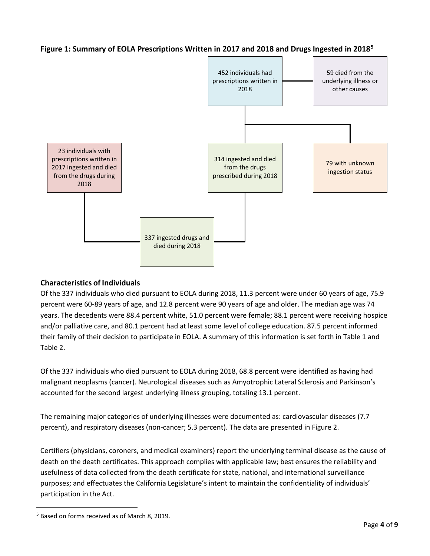

### **Figure 1: Summary of EOLA Prescriptions Written in 2017 and 2018 and Drugs Ingested in 2018[5](#page-3-0)**

### **Characteristics of Individuals**

Of the 337 individuals who died pursuant to EOLA during 2018, 11.3 percent were under 60 years of age, 75.9 percent were 60-89 years of age, and 12.8 percent were 90 years of age and older. The median age was 74 years. The decedents were 88.4 percent white, 51.0 percent were female; 88.1 percent were receiving hospice and/or palliative care, and 80.1 percent had at least some level of college education. 87.5 percent informed their family of their decision to participate in EOLA. A summary of this information is set forth in Table 1 and Table 2.

Of the 337 individuals who died pursuant to EOLA during 2018, 68.8 percent were identified as having had malignant neoplasms (cancer). Neurological diseases such as Amyotrophic Lateral Sclerosis and Parkinson's accounted for the second largest underlying illness grouping, totaling 13.1 percent.

The remaining major categories of underlying illnesses were documented as: cardiovascular diseases (7.7 percent), and respiratory diseases (non-cancer; 5.3 percent). The data are presented in [Figure 2.](#page-4-0)

Certifiers (physicians, coroners, and medical examiners) report the underlying terminal disease as the cause of death on the death certificates. This approach complies with applicable law; best ensures the reliability and usefulness of data collected from the death certificate for state, national, and international surveillance purposes; and effectuates the California Legislature's intent to maintain the confidentiality of individuals' participation in the Act.

<span id="page-3-0"></span> <sup>5</sup> Based on forms received as of March 8, 2019.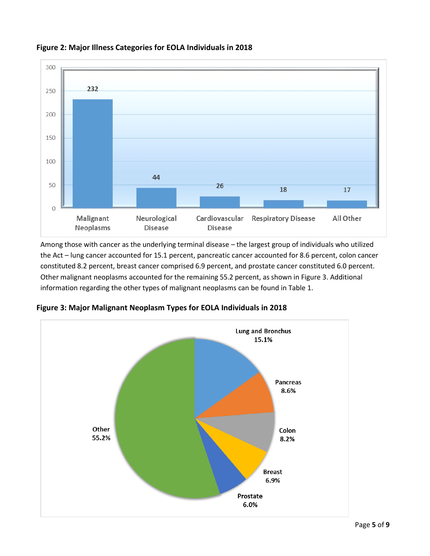

## <span id="page-4-0"></span>**Figure 2: Major Illness Categories for EOLA Individuals in 2018**

Among those with cancer as the underlying terminal disease – the largest group of individuals who utilized the Act – lung cancer accounted for 15.1 percent, pancreatic cancer accounted for 8.6 percent, colon cancer constituted 8.2 percent, breast cancer comprised 6.9 percent, and prostate cancer constituted 6.0 percent. Other malignant neoplasms accounted for the remaining 55.2 percent, as shown in [Figure 3.](#page-4-1) Additional information regarding the other types of malignant neoplasms can be found in [Table 1.](#page-6-0)



<span id="page-4-1"></span>**Figure 3: Major Malignant Neoplasm Types for EOLA Individuals in 2018**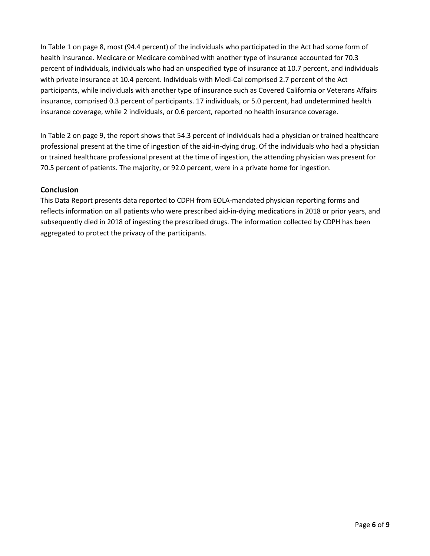I[n Table 1](#page-6-0) on page 8, most (94.4 percent) of the individuals who participated in the Act had some form of health insurance. Medicare or Medicare combined with another type of insurance accounted for 70.3 percent of individuals, individuals who had an unspecified type of insurance at 10.7 percent, and individuals with private insurance at 10.4 percent. Individuals with Medi-Cal comprised 2.7 percent of the Act participants, while individuals with another type of insurance such as Covered California or Veterans Affairs insurance, comprised 0.3 percent of participants. 17 individuals, or 5.0 percent, had undetermined health insurance coverage, while 2 individuals, or 0.6 percent, reported no health insurance coverage.

I[n Table 2](#page-8-0) on page [9,](#page-8-0) the report shows that 54.3 percent of individuals had a physician or trained healthcare professional present at the time of ingestion of the aid-in-dying drug. Of the individuals who had a physician or trained healthcare professional present at the time of ingestion, the attending physician was present for 70.5 percent of patients. The majority, or 92.0 percent, were in a private home for ingestion.

#### **Conclusion**

This Data Report presents data reported to CDPH from EOLA-mandated physician reporting forms and reflects information on all patients who were prescribed aid-in-dying medications in 2018 or prior years, and subsequently died in 2018 of ingesting the prescribed drugs. The information collected by CDPH has been aggregated to protect the privacy of the participants.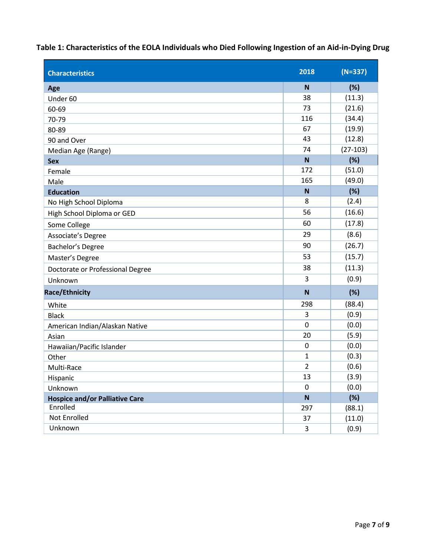<span id="page-6-0"></span>**Table 1: Characteristics of the EOLA Individuals who Died Following Ingestion of an Aid-in-Dying Drug**

| <b>Characteristics</b>                | 2018           | $(N=337)$  |
|---------------------------------------|----------------|------------|
| Age                                   | N              | (%)        |
| Under 60                              | 38             | (11.3)     |
| 60-69                                 | 73             | (21.6)     |
| 70-79                                 | 116            | (34.4)     |
| 80-89                                 | 67             | (19.9)     |
| 90 and Over                           | 43             | (12.8)     |
| Median Age (Range)                    | 74             | $(27-103)$ |
| <b>Sex</b>                            | N              | (%)        |
| Female                                | 172            | (51.0)     |
| Male                                  | 165            | (49.0)     |
| <b>Education</b>                      | N              | (%)        |
| No High School Diploma                | 8              | (2.4)      |
| High School Diploma or GED            | 56             | (16.6)     |
| Some College                          | 60             | (17.8)     |
| Associate's Degree                    | 29             | (8.6)      |
| Bachelor's Degree                     | 90             | (26.7)     |
| Master's Degree                       | 53             | (15.7)     |
| Doctorate or Professional Degree      | 38             | (11.3)     |
| Unknown                               | 3              | (0.9)      |
| <b>Race/Ethnicity</b>                 | N              | (%)        |
| White                                 | 298            | (88.4)     |
| <b>Black</b>                          | 3              | (0.9)      |
| American Indian/Alaskan Native        | $\mathbf 0$    | (0.0)      |
| Asian                                 | 20             | (5.9)      |
| Hawaiian/Pacific Islander             | $\mathbf 0$    | (0.0)      |
| Other                                 | 1              | (0.3)      |
| Multi-Race                            | $\overline{2}$ | (0.6)      |
| Hispanic                              | 13             | (3.9)      |
| Unknown                               | 0              | (0.0)      |
| <b>Hospice and/or Palliative Care</b> | N              | (%)        |
| Enrolled                              | 297            | (88.1)     |
| Not Enrolled                          | 37             | (11.0)     |
| Unknown                               | 3              | (0.9)      |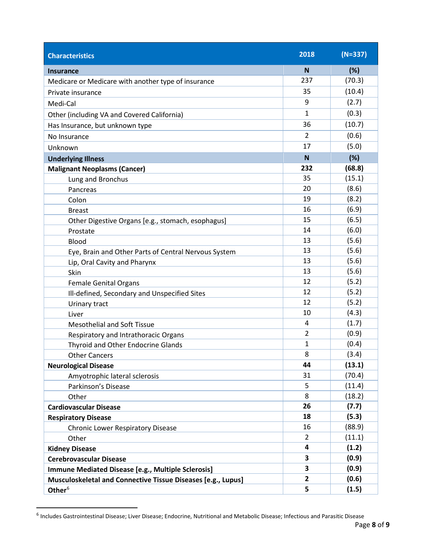| <b>Characteristics</b>                                       | 2018           | $(N=337)$ |
|--------------------------------------------------------------|----------------|-----------|
| <b>Insurance</b>                                             | $\mathbf N$    | (%)       |
| Medicare or Medicare with another type of insurance          | 237            | (70.3)    |
| Private insurance                                            | 35             | (10.4)    |
| Medi-Cal                                                     | 9              | (2.7)     |
| Other (including VA and Covered California)                  | $\mathbf{1}$   | (0.3)     |
| Has Insurance, but unknown type                              | 36             | (10.7)    |
| No Insurance                                                 | $\overline{2}$ | (0.6)     |
| Unknown                                                      | 17             | (5.0)     |
| <b>Underlying Illness</b>                                    | N              | (%)       |
| <b>Malignant Neoplasms (Cancer)</b>                          | 232            | (68.8)    |
| Lung and Bronchus                                            | 35             | (15.1)    |
| Pancreas                                                     | 20             | (8.6)     |
| Colon                                                        | 19             | (8.2)     |
| <b>Breast</b>                                                | 16             | (6.9)     |
| Other Digestive Organs [e.g., stomach, esophagus]            | 15             | (6.5)     |
| Prostate                                                     | 14             | (6.0)     |
| <b>Blood</b>                                                 | 13             | (5.6)     |
| Eye, Brain and Other Parts of Central Nervous System         | 13             | (5.6)     |
| Lip, Oral Cavity and Pharynx                                 | 13             | (5.6)     |
| Skin                                                         | 13             | (5.6)     |
| <b>Female Genital Organs</b>                                 | 12             | (5.2)     |
| Ill-defined, Secondary and Unspecified Sites                 | 12             | (5.2)     |
| Urinary tract                                                | 12             | (5.2)     |
| Liver                                                        | 10             | (4.3)     |
| <b>Mesothelial and Soft Tissue</b>                           | 4              | (1.7)     |
| Respiratory and Intrathoracic Organs                         | $\overline{2}$ | (0.9)     |
| Thyroid and Other Endocrine Glands                           | $\mathbf{1}$   | (0.4)     |
| <b>Other Cancers</b>                                         | 8              | (3.4)     |
| <b>Neurological Disease</b>                                  | 44             | (13.1)    |
| Amyotrophic lateral sclerosis                                | 31             | (70.4)    |
| Parkinson's Disease                                          | 5              | (11.4)    |
| Other                                                        | 8              | (18.2)    |
| <b>Cardiovascular Disease</b>                                | 26             | (7.7)     |
| <b>Respiratory Disease</b>                                   | 18             | (5.3)     |
| <b>Chronic Lower Respiratory Disease</b>                     | 16             | (88.9)    |
| Other                                                        | 2              | (11.1)    |
| <b>Kidney Disease</b>                                        | 4              | (1.2)     |
| <b>Cerebrovascular Disease</b>                               | 3              | (0.9)     |
| Immune Mediated Disease [e.g., Multiple Sclerosis]           | 3              | (0.9)     |
| Musculoskeletal and Connective Tissue Diseases [e.g., Lupus] | $\overline{2}$ | (0.6)     |
| Other <sup>6</sup>                                           | 5              | (1.5)     |

<span id="page-7-0"></span> <sup>6</sup> Includes Gastrointestinal Disease; Liver Disease; Endocrine, Nutritional and Metabolic Disease; Infectious and Parasitic Disease